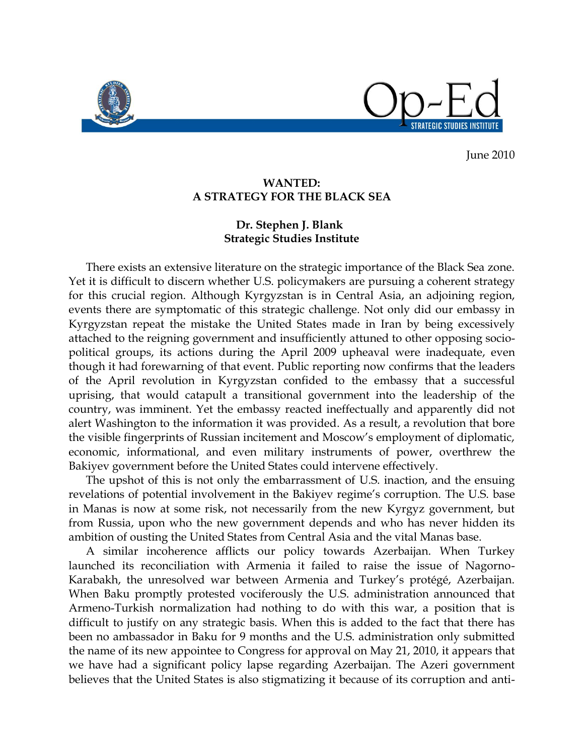

**STRATEGIC STUDIES INSTITUT** 

June 2010

## **WANTED: A STRATEGY FOR THE BLACK SEA**

## **Dr. Stephen J. Blank Strategic Studies Institute**

 There exists an extensive literature on the strategic importance of the Black Sea zone. Yet it is difficult to discern whether U.S. policymakers are pursuing a coherent strategy for this crucial region. Although Kyrgyzstan is in Central Asia, an adjoining region, events there are symptomatic of this strategic challenge. Not only did our embassy in Kyrgyzstan repeat the mistake the United States made in Iran by being excessively attached to the reigning government and insufficiently attuned to other opposing sociopolitical groups, its actions during the April 2009 upheaval were inadequate, even though it had forewarning of that event. Public reporting now confirms that the leaders of the April revolution in Kyrgyzstan confided to the embassy that a successful uprising, that would catapult a transitional government into the leadership of the country, was imminent. Yet the embassy reacted ineffectually and apparently did not alert Washington to the information it was provided. As a result, a revolution that bore the visible fingerprints of Russian incitement and Moscow's employment of diplomatic, economic, informational, and even military instruments of power, overthrew the Bakiyev government before the United States could intervene effectively.

The upshot of this is not only the embarrassment of U.S. inaction, and the ensuing revelations of potential involvement in the Bakiyev regime's corruption. The U.S. base in Manas is now at some risk, not necessarily from the new Kyrgyz government, but from Russia, upon who the new government depends and who has never hidden its ambition of ousting the United States from Central Asia and the vital Manas base.

A similar incoherence afflicts our policy towards Azerbaijan. When Turkey launched its reconciliation with Armenia it failed to raise the issue of Nagorno-Karabakh, the unresolved war between Armenia and Turkey's protégé, Azerbaijan. When Baku promptly protested vociferously the U.S. administration announced that Armeno-Turkish normalization had nothing to do with this war, a position that is difficult to justify on any strategic basis. When this is added to the fact that there has been no ambassador in Baku for 9 months and the U.S. administration only submitted the name of its new appointee to Congress for approval on May 21, 2010, it appears that we have had a significant policy lapse regarding Azerbaijan. The Azeri government believes that the United States is also stigmatizing it because of its corruption and anti-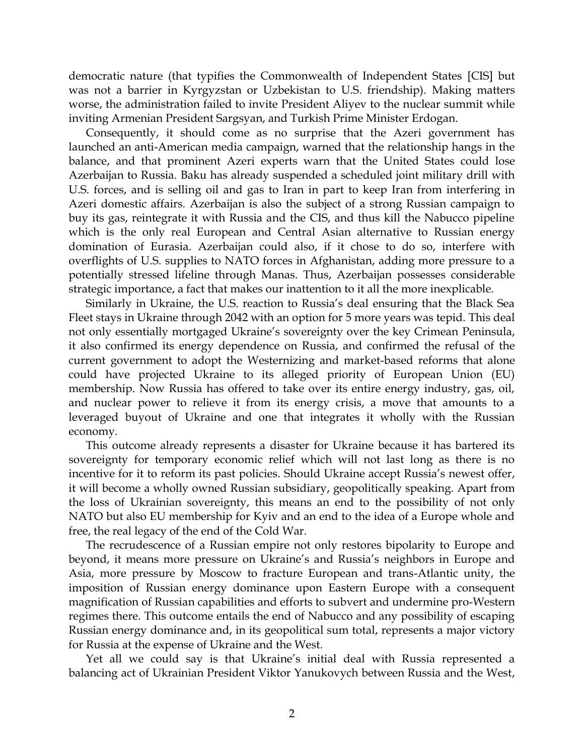democratic nature (that typifies the Commonwealth of Independent States [CIS] but was not a barrier in Kyrgyzstan or Uzbekistan to U.S. friendship). Making matters worse, the administration failed to invite President Aliyev to the nuclear summit while inviting Armenian President Sargsyan, and Turkish Prime Minister Erdogan.

 Consequently, it should come as no surprise that the Azeri government has launched an anti-American media campaign, warned that the relationship hangs in the balance, and that prominent Azeri experts warn that the United States could lose Azerbaijan to Russia. Baku has already suspended a scheduled joint military drill with U.S. forces, and is selling oil and gas to Iran in part to keep Iran from interfering in Azeri domestic affairs. Azerbaijan is also the subject of a strong Russian campaign to buy its gas, reintegrate it with Russia and the CIS, and thus kill the Nabucco pipeline which is the only real European and Central Asian alternative to Russian energy domination of Eurasia. Azerbaijan could also, if it chose to do so, interfere with overflights of U.S. supplies to NATO forces in Afghanistan, adding more pressure to a potentially stressed lifeline through Manas. Thus, Azerbaijan possesses considerable strategic importance, a fact that makes our inattention to it all the more inexplicable.

Similarly in Ukraine, the U.S. reaction to Russia's deal ensuring that the Black Sea Fleet stays in Ukraine through 2042 with an option for 5 more years was tepid. This deal not only essentially mortgaged Ukraine's sovereignty over the key Crimean Peninsula, it also confirmed its energy dependence on Russia, and confirmed the refusal of the current government to adopt the Westernizing and market-based reforms that alone could have projected Ukraine to its alleged priority of European Union (EU) membership. Now Russia has offered to take over its entire energy industry, gas, oil, and nuclear power to relieve it from its energy crisis, a move that amounts to a leveraged buyout of Ukraine and one that integrates it wholly with the Russian economy.

 This outcome already represents a disaster for Ukraine because it has bartered its sovereignty for temporary economic relief which will not last long as there is no incentive for it to reform its past policies. Should Ukraine accept Russia's newest offer, it will become a wholly owned Russian subsidiary, geopolitically speaking. Apart from the loss of Ukrainian sovereignty, this means an end to the possibility of not only NATO but also EU membership for Kyiv and an end to the idea of a Europe whole and free, the real legacy of the end of the Cold War.

 The recrudescence of a Russian empire not only restores bipolarity to Europe and beyond, it means more pressure on Ukraine's and Russia's neighbors in Europe and Asia, more pressure by Moscow to fracture European and trans-Atlantic unity, the imposition of Russian energy dominance upon Eastern Europe with a consequent magnification of Russian capabilities and efforts to subvert and undermine pro-Western regimes there. This outcome entails the end of Nabucco and any possibility of escaping Russian energy dominance and, in its geopolitical sum total, represents a major victory for Russia at the expense of Ukraine and the West.

Yet all we could say is that Ukraine's initial deal with Russia represented a balancing act of Ukrainian President Viktor Yanukovych between Russia and the West,